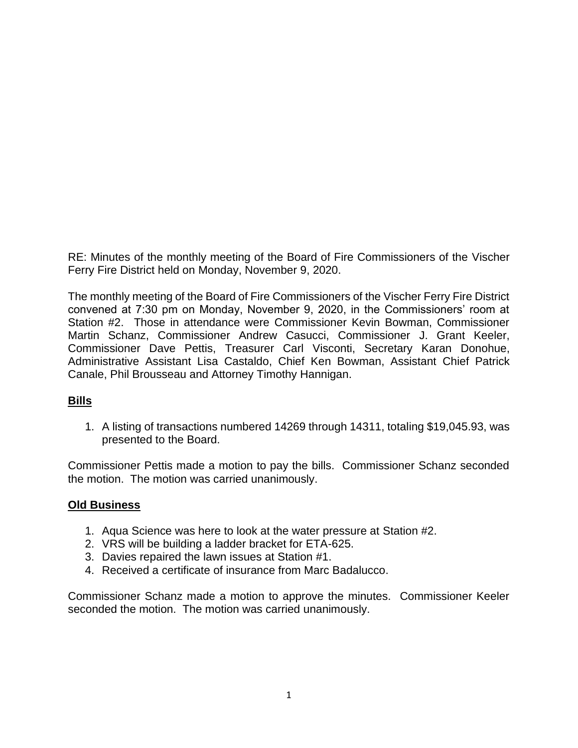RE: Minutes of the monthly meeting of the Board of Fire Commissioners of the Vischer Ferry Fire District held on Monday, November 9, 2020.

The monthly meeting of the Board of Fire Commissioners of the Vischer Ferry Fire District convened at 7:30 pm on Monday, November 9, 2020, in the Commissioners' room at Station #2. Those in attendance were Commissioner Kevin Bowman, Commissioner Martin Schanz, Commissioner Andrew Casucci, Commissioner J. Grant Keeler, Commissioner Dave Pettis, Treasurer Carl Visconti, Secretary Karan Donohue, Administrative Assistant Lisa Castaldo, Chief Ken Bowman, Assistant Chief Patrick Canale, Phil Brousseau and Attorney Timothy Hannigan.

# **Bills**

1. A listing of transactions numbered 14269 through 14311, totaling \$19,045.93, was presented to the Board.

Commissioner Pettis made a motion to pay the bills. Commissioner Schanz seconded the motion. The motion was carried unanimously.

### **Old Business**

- 1. Aqua Science was here to look at the water pressure at Station #2.
- 2. VRS will be building a ladder bracket for ETA-625.
- 3. Davies repaired the lawn issues at Station #1.
- 4. Received a certificate of insurance from Marc Badalucco.

Commissioner Schanz made a motion to approve the minutes. Commissioner Keeler seconded the motion. The motion was carried unanimously.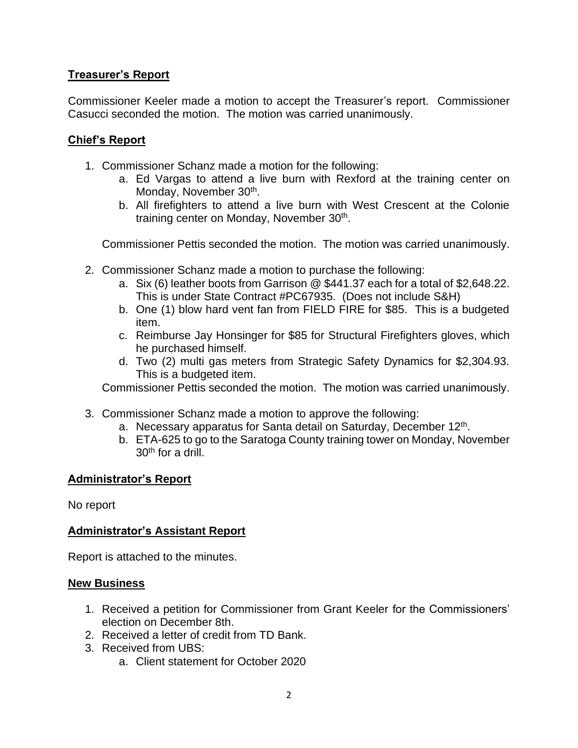# **Treasurer's Report**

Commissioner Keeler made a motion to accept the Treasurer's report. Commissioner Casucci seconded the motion. The motion was carried unanimously.

### **Chief's Report**

- 1. Commissioner Schanz made a motion for the following:
	- a. Ed Vargas to attend a live burn with Rexford at the training center on Monday, November 30<sup>th</sup>.
	- b. All firefighters to attend a live burn with West Crescent at the Colonie training center on Monday, November 30<sup>th</sup>.

Commissioner Pettis seconded the motion. The motion was carried unanimously.

- 2. Commissioner Schanz made a motion to purchase the following:
	- a. Six (6) leather boots from Garrison @ \$441.37 each for a total of \$2,648.22. This is under State Contract #PC67935. (Does not include S&H)
	- b. One (1) blow hard vent fan from FIELD FIRE for \$85. This is a budgeted item.
	- c. Reimburse Jay Honsinger for \$85 for Structural Firefighters gloves, which he purchased himself.
	- d. Two (2) multi gas meters from Strategic Safety Dynamics for \$2,304.93. This is a budgeted item.

Commissioner Pettis seconded the motion. The motion was carried unanimously.

- 3. Commissioner Schanz made a motion to approve the following:
	- a. Necessary apparatus for Santa detail on Saturday, December 12<sup>th</sup>.
	- b. ETA-625 to go to the Saratoga County training tower on Monday, November 30th for a drill.

### **Administrator's Report**

No report

### **Administrator's Assistant Report**

Report is attached to the minutes.

### **New Business**

- 1. Received a petition for Commissioner from Grant Keeler for the Commissioners' election on December 8th.
- 2. Received a letter of credit from TD Bank.
- 3. Received from UBS:
	- a. Client statement for October 2020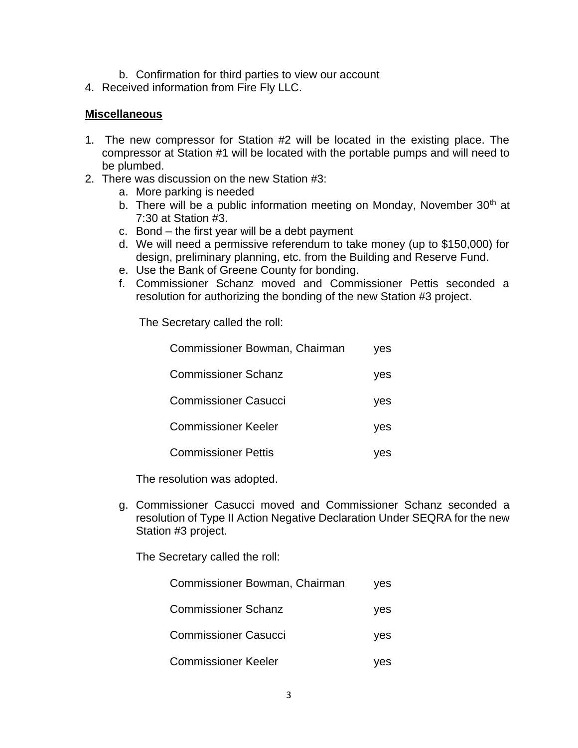- b. Confirmation for third parties to view our account
- 4. Received information from Fire Fly LLC.

#### **Miscellaneous**

- 1. The new compressor for Station #2 will be located in the existing place. The compressor at Station #1 will be located with the portable pumps and will need to be plumbed.
- 2. There was discussion on the new Station #3:
	- a. More parking is needed
	- b. There will be a public information meeting on Monday, November 30<sup>th</sup> at 7:30 at Station #3.
	- c. Bond the first year will be a debt payment
	- d. We will need a permissive referendum to take money (up to \$150,000) for design, preliminary planning, etc. from the Building and Reserve Fund.
	- e. Use the Bank of Greene County for bonding.
	- f. Commissioner Schanz moved and Commissioner Pettis seconded a resolution for authorizing the bonding of the new Station #3 project.

The Secretary called the roll:

| Commissioner Bowman, Chairman | ves |
|-------------------------------|-----|
| <b>Commissioner Schanz</b>    | yes |
| <b>Commissioner Casucci</b>   | yes |
| <b>Commissioner Keeler</b>    | yes |
| <b>Commissioner Pettis</b>    |     |

The resolution was adopted.

g. Commissioner Casucci moved and Commissioner Schanz seconded a resolution of Type II Action Negative Declaration Under SEQRA for the new Station #3 project.

The Secretary called the roll:

| Commissioner Bowman, Chairman | ves |
|-------------------------------|-----|
| <b>Commissioner Schanz</b>    | yes |
| <b>Commissioner Casucci</b>   | yes |
| <b>Commissioner Keeler</b>    | ves |